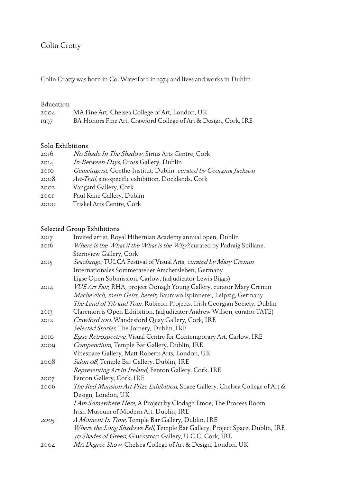# Colin Crotty

Colin Crotty was born in Co. Waterford in 1974 and lives and works in Dublin.

## Education

| 2004 | MA Fine Art, Chelsea College of Art, London, UK                 |
|------|-----------------------------------------------------------------|
| 1997 | BA Honors Fine Art, Crawford College of Art & Design, Cork, IRE |

#### Solo Exhibitions

| 2016 | No Shade In The Shadow, Sirius Arts Centre, Cork                  |
|------|-------------------------------------------------------------------|
| 2014 | In-Between Days, Cross Gallery, Dublin                            |
| 2010 | Gemeingeist, Goethe-Institut, Dublin, curated by Georgina Jackson |
| 2008 | Art-Trail, site-specific exhibition, Docklands, Cork              |
| 2002 | Vangard Gallery, Cork                                             |
| 2001 | Paul Kane Gallery, Dublin                                         |
| 2000 | Triskel Arts Centre, Cork                                         |

# Selected Group Exhibitions

| 2017 | Invited artist, Royal Hibernian Academy annual open, Dublin                   |
|------|-------------------------------------------------------------------------------|
| 2016 | Where is the What if the What is the Why?, curated by Padraig Spillane,       |
|      | Sternview Gallery, Cork                                                       |
| 2015 | Seachange, TULCA Festival of Visual Arts, curated by Mary Cremin              |
|      | Internationales Sommeratelier Arschersleben, Germany                          |
|      | Eigse Open Submission, Carlow, (adjudicator Lewis Biggs)                      |
| 2014 | VUE Art Fair, RHA, project Oonagh Young Gallery, curator Mary Cremin          |
|      | Mache dich, mein Geist, bereit, Baumwollspinnerei, Leipzig, Germany           |
|      | The Land of Tib and Tom, Rubicon Projects, Irish Georgian Society, Dublin     |
| 2013 | Claremorris Open Exhibition, (adjudicator Andrew Wilson, curator TATE)        |
| 2012 | Crawford 100, Wandesford Quay Gallery, Cork, IRE                              |
|      | Selected Stories, The Joinery, Dublin, IRE                                    |
| 2010 | Eigse Retrospective, Visual Centre for Contemporary Art, Carlow, IRE          |
| 2009 | Compendium, Temple Bar Gallery, Dublin, IRE                                   |
|      | Vinespace Gallery, Matt Roberts Arts, London, UK                              |
| 2008 | Salon 08, Temple Bar Gallery, Dublin, IRE                                     |
|      | Representing Art in Ireland, Fenton Gallery, Cork, IRE                        |
| 2007 | Fenton Gallery, Cork, IRE                                                     |
| 2006 | The Red Mansion Art Prize Exhibition, Space Gallery, Chelsea College of Art & |
|      | Design, London, UK                                                            |
|      | I Am Somewhere Here, A Project by Clodagh Emoe, The Process Room,             |
|      | Irish Museum of Modern Art, Dublin, IRE                                       |
| 2005 | A Moment In Time, Temple Bar Gallery, Dublin, IRE                             |
|      | Where the Long Shadows Fall, Temple Bar Gallery, Project Space, Dublin, IRE   |
|      | 40 Shades of Green, Glucksman Gallery, U.C.C, Cork, IRE                       |
| 2004 | MA Degree Show, Chelsea College of Art & Design, London, UK                   |